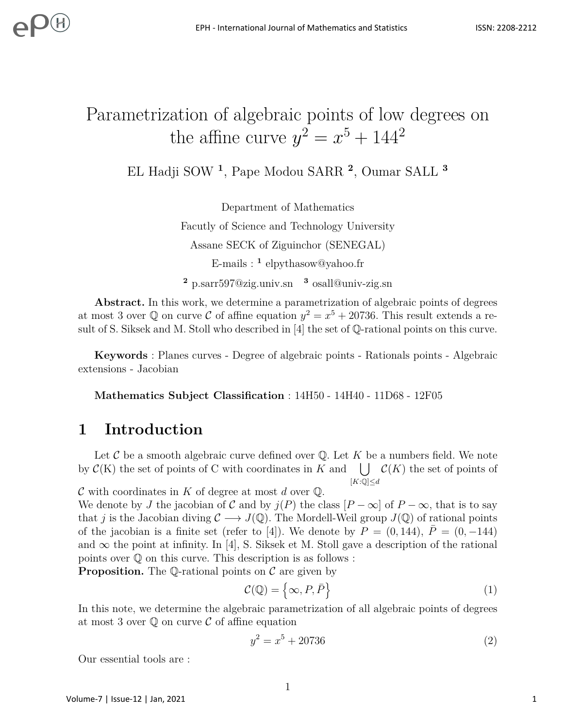# Parametrization of algebraic points of low degrees on the affine curve  $y^2 = x^5 + 144^2$

EL Hadji SOW **<sup>1</sup>** , Pape Modou SARR **<sup>2</sup>** , Oumar SALL **<sup>3</sup>**

Department of Mathematics Facutly of Science and Technology University Assane SECK of Ziguinchor (SENEGAL) E-mails : **<sup>1</sup>** elpythasow@yahoo.fr **<sup>2</sup>** p.sarr597@zig.univ.sn **<sup>3</sup>** osall@univ-zig.sn

Abstract. In this work, we determine a parametrization of algebraic points of degrees at most 3 over  $\mathbb Q$  on curve C of affine equation  $y^2 = x^5 + 20736$ . This result extends a result of S. Siksek and M. Stoll who described in [4] the set of Q-rational points on this curve.

**Keywords** : Planes curves - Degree of algebraic points - Rationals points - Algebraic extensions - Jacobian

**Mathematics Subject Classification** : 14H50 - 14H40 - 11D68 - 12F05

# **1 Introduction**

Let C be a smooth algebraic curve defined over Q. Let K be a numbers field. We note by  $\mathcal{C}(K)$  the set of points of C with coordinates in *K* and  $\bigcup \mathcal{C}(K)$  the set of points of  $[K:\mathbb{Q}] \leq d$ 

C with coordinates in *K* of degree at most *d* over Q.

We denote by *J* the jacobian of C and by  $j(P)$  the class  $[P - \infty]$  of  $P - \infty$ , that is to say that *j* is the Jacobian diving  $C \longrightarrow J(\mathbb{Q})$ . The Mordell-Weil group  $J(\mathbb{Q})$  of rational points of the jacobian is a finite set (refer to [4]). We denote by  $P = (0, 144)$ ,  $\overline{P} = (0, -144)$ and  $\infty$  the point at infinity. In [4], S. Siksek et M. Stoll gave a description of the rational points over Q on this curve. This description is as follows :

**Proposition.** The Q-rational points on  $\mathcal C$  are given by

$$
\mathcal{C}(\mathbb{Q}) = \left\{ \infty, P, \bar{P} \right\} \tag{1}
$$

In this note, we determine the algebraic parametrization of all algebraic points of degrees at most 3 over  $\mathbb Q$  on curve  $\mathcal C$  of affine equation

$$
y^2 = x^5 + 20736\tag{2}
$$

Our essential tools are :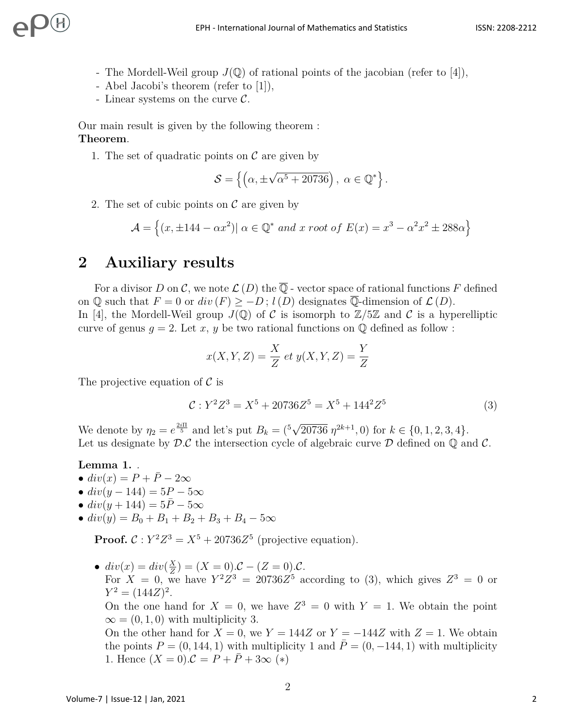- The Mordell-Weil group  $J(\mathbb{Q})$  of rational points of the jacobian (refer to [4]),
- Abel Jacobi's theorem (refer to [1]),
- Linear systems on the curve C*.*

Our main result is given by the following theorem : **Theorem**.

1. The set of quadratic points on  $\mathcal C$  are given by

$$
\mathcal{S} = \left\{ \left( \alpha, \pm \sqrt{\alpha^5 + 20736} \right), \ \alpha \in \mathbb{Q}^* \right\}.
$$

2. The set of cubic points on  $\mathcal C$  are given by

$$
\mathcal{A} = \left\{ (x, \pm 144 - \alpha x^2) | \alpha \in \mathbb{Q}^* \text{ and } x \text{ root of } E(x) = x^3 - \alpha^2 x^2 \pm 288\alpha \right\}
$$

# **2 Auxiliary results**

For a divisor *D* on *C*, we note  $\mathcal{L}(D)$  the  $\overline{\mathbb{Q}}$  - vector space of rational functions *F* defined on  $\mathbb Q$  such that  $F = 0$  or  $div(F) \ge -D$ ;  $l(D)$  designates  $\mathbb Q$ -dimension of  $\mathcal L(D)$ . In [4], the Mordell-Weil group  $J(\mathbb{Q})$  of C is isomorph to  $\mathbb{Z}/5\mathbb{Z}$  and C is a hyperelliptic curve of genus  $q = 2$ . Let x, y be two rational functions on  $\mathbb Q$  defined as follow :

$$
x(X, Y, Z) = \frac{X}{Z} et y(X, Y, Z) = \frac{Y}{Z}
$$

The projective equation of  $\mathcal C$  is

$$
\mathcal{C}: Y^2 Z^3 = X^5 + 20736 Z^5 = X^5 + 144^2 Z^5 \tag{3}
$$

We denote by  $\eta_2 = e^{\frac{2i\Pi}{5}}$  and let's put  $B_k = {^{5}$ √  $\overline{20736} \eta^{2k+1}$ , 0) for  $k \in \{0, 1, 2, 3, 4\}.$ Let us designate by  $\mathcal{D}.\mathcal{C}$  the intersection cycle of algebraic curve  $\mathcal D$  defined on  $\mathbb O$  and  $\mathcal C$ .

### **Lemma 1.** *.*

- $div(x) = P + \overline{P} 2\infty$
- $div(y 144) = 5P 5\infty$
- $div(y + 144) = 5\bar{P} 5\infty$
- $\bullet$  *div*(*y*) = *B*<sub>0</sub> + *B*<sub>1</sub> + *B*<sub>2</sub> + *B*<sub>3</sub> + *B*<sub>4</sub> − 5∞

**Proof.**  $C: Y^2Z^3 = X^5 + 20736Z^5$  (projective equation).

•  $div(x) = div(\frac{X}{Z})$  $(\frac{X}{Z}) = (X = 0) \cdot C - (Z = 0) \cdot C$ . For  $X = 0$ , we have  $Y^2 Z^3 = 20736 Z^5$  according to (3), which gives  $Z^3 = 0$  or  $Y^2 = (144Z)^2$ . On the one hand for  $X = 0$ , we have  $Z^3 = 0$  with  $Y = 1$ . We obtain the point  $\infty = (0, 1, 0)$  with multiplicity 3. On the other hand for  $X = 0$ , we  $Y = 144Z$  or  $Y = -144Z$  with  $Z = 1$ . We obtain the points  $P = (0, 144, 1)$  with multiplicity 1 and  $\overline{P} = (0, -144, 1)$  with multiplicity 1. Hence  $(X = 0) \mathcal{C} = P + P + 3\infty$  (\*)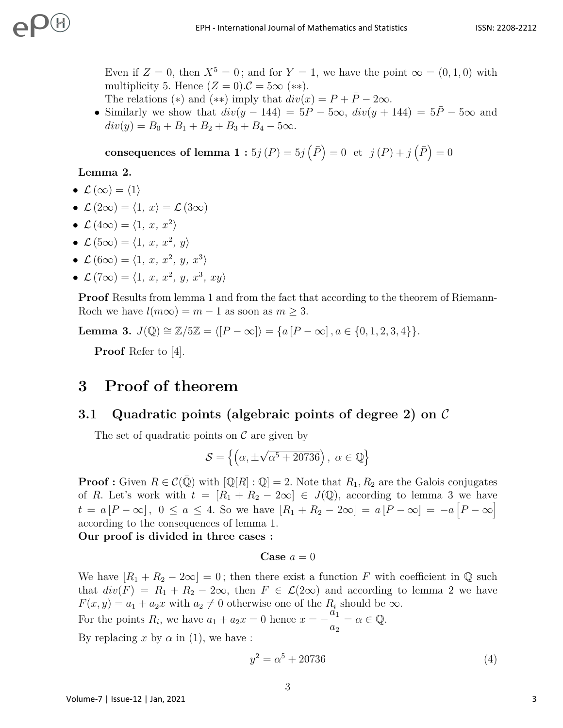Even if  $Z = 0$ , then  $X^5 = 0$ ; and for  $Y = 1$ , we have the point  $\infty = (0, 1, 0)$  with multiplicity 5. Hence  $(Z = 0) \mathcal{C} = 5\infty$  (\*\*).

The relations (\*) and (\*\*) imply that  $div(x) = P + \overline{P} - 2\infty$ .

• Similarly we show that  $div(y - 144) = 5P - 5\infty$ ,  $div(y + 144) = 5P - 5\infty$  and  $div(y) = B_0 + B_1 + B_2 + B_3 + B_4 - 5\infty$ .

 $\textbf{consequences of lemma 1}: } 5j(P) = 5j(\bar{P}) = 0 \text{ et } j(P) + j(\bar{P}) = 0$ 

### **Lemma 2.**

- $\mathcal{L}(\infty) = \langle 1 \rangle$
- $\mathcal{L}(2\infty) = \langle 1, x \rangle = \mathcal{L}(3\infty)$
- $\mathcal{L}(4\infty) = \langle 1, x, x^2 \rangle$
- $\mathcal{L}(5\infty) = \langle 1, x, x^2, y \rangle$
- $\mathcal{L}(6\infty) = \langle 1, x, x^2, y, x^3 \rangle$
- $\mathcal{L}(7\infty) = \langle 1, x, x^2, y, x^3, xy \rangle$

**Proof** Results from lemma 1 and from the fact that according to the theorem of Riemann-Roch we have  $l(m\infty) = m - 1$  as soon as  $m \geq 3$ .

**Lemma 3.**  $J(\mathbb{Q}) \cong \mathbb{Z}/5\mathbb{Z} = \langle [P - \infty] \rangle = \{a [P - \infty], a \in \{0, 1, 2, 3, 4\} \}.$ 

**Proof** Refer to [4].

# **3 Proof of theorem**

## **3.1 Quadratic points (algebraic points of degree 2) on** C

The set of quadratic points on  $\mathcal C$  are given by

$$
\mathcal{S} = \left\{ \left( \alpha, \pm \sqrt{\alpha^5 + 20736} \right), \ \alpha \in \mathbb{Q} \right\}
$$

**Proof :** Given  $R \in \mathcal{C}(\overline{\mathbb{Q}})$  with  $[\mathbb{Q}[R] : \mathbb{Q}] = 2$ . Note that  $R_1, R_2$  are the Galois conjugates of *R*. Let's work with  $t = [R_1 + R_2 - 2\infty] \in J(\mathbb{Q})$ , according to lemma 3 we have  $t = a [P - \infty], 0 \le a \le 4.$  So we have  $[R_1 + R_2 - 2\infty] = a [P - \infty] = -a [\overline{P} - \infty]$ according to the consequences of lemma 1.

**Our proof is divided in three cases :**

#### **Case**  $a = 0$

We have  $[R_1 + R_2 - 2\infty] = 0$ ; then there exist a function F with coefficient in Q such that  $div(F) = R_1 + R_2 - 2\infty$ , then  $F \in \mathcal{L}(2\infty)$  and according to lemma 2 we have  $F(x, y) = a_1 + a_2 x$  with  $a_2 \neq 0$  otherwise one of the  $R_i$  should be  $\infty$ *.* 

For the points  $R_i$ , we have  $a_1 + a_2x = 0$  hence  $x = -\frac{a_1}{a_2}$ *a*2  $=\alpha \in \mathbb{Q}$ . By replacing  $x$  by  $\alpha$  in (1), we have :

$$
y^2 = \alpha^5 + 20736\tag{4}
$$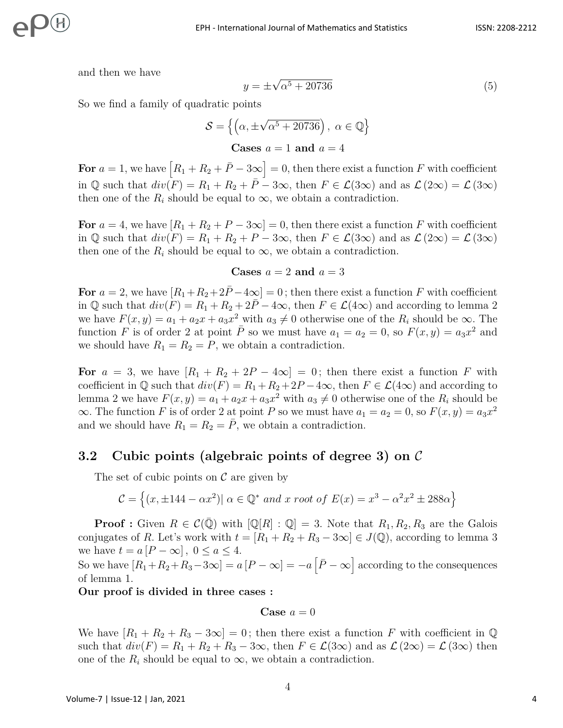and then we have

$$
y = \pm \sqrt{\alpha^5 + 20736} \tag{5}
$$

So we find a family of quadratic points

$$
S = \left\{ \left( \alpha, \pm \sqrt{\alpha^5 + 20736} \right), \ \alpha \in \mathbb{Q} \right\}
$$
  
Cases  $a = 1$  and  $a = 4$ 

For  $a = 1$ , we have  $[R_1 + R_2 + \bar{P} - 3\infty] = 0$ , then there exist a function *F* with coefficient in Q such that  $div(F) = R_1 + R_2 + \overline{P} - 3\infty$ , then  $F \in \mathcal{L}(3\infty)$  and as  $\mathcal{L}(2\infty) = \mathcal{L}(3\infty)$ then one of the  $R_i$  should be equal to  $\infty$ , we obtain a contradiction.

**For**  $a = 4$ , we have  $[R_1 + R_2 + P - 3\infty] = 0$ , then there exist a function F with coefficient in Q such that  $div(F) = R_1 + R_2 + P - 3\infty$ , then  $F \in \mathcal{L}(3\infty)$  and as  $\mathcal{L}(2\infty) = \mathcal{L}(3\infty)$ then one of the  $R_i$  should be equal to  $\infty$ , we obtain a contradiction.

#### **Cases**  $a = 2$  **and**  $a = 3$

For  $a = 2$ , we have  $[R_1 + R_2 + 2\overline{P} - 4\infty] = 0$ ; then there exist a function  $F$  with coefficient in Q such that  $div(F) = R_1 + R_2 + 2\overline{P} - 4\infty$ , then  $F \in \mathcal{L}(4\infty)$  and according to lemma 2 we have  $F(x, y) = a_1 + a_2x + a_3x^2$  with  $a_3 \neq 0$  otherwise one of the  $R_i$  should be  $\infty$ . The function *F* is of order 2 at point  $\overline{P}$  so we must have  $a_1 = a_2 = 0$ , so  $F(x, y) = a_3 x^2$  and we should have  $R_1 = R_2 = P$ , we obtain a contradiction.

For  $a = 3$ , we have  $[R_1 + R_2 + 2P - 4\infty] = 0$ ; then there exist a function *F* with coefficient in  $\mathbb Q$  such that  $div(F) = R_1 + R_2 + 2P - 4\infty$ , then  $F \in \mathcal L(4\infty)$  and according to lemma 2 we have  $F(x, y) = a_1 + a_2x + a_3x^2$  with  $a_3 \neq 0$  otherwise one of the  $R_i$  should be  $\infty$ *.* The function *F* is of order 2 at point *P* so we must have  $a_1 = a_2 = 0$ , so  $F(x, y) = a_3 x^2$ and we should have  $R_1 = R_2 = P$ , we obtain a contradiction.

### **3.2 Cubic points (algebraic points of degree 3) on** C

The set of cubic points on  $\mathcal C$  are given by

$$
\mathcal{C} = \left\{ (x, \pm 144 - \alpha x^2) | \alpha \in \mathbb{Q}^* \text{ and } x \text{ root of } E(x) = x^3 - \alpha^2 x^2 \pm 288\alpha \right\}
$$

**Proof**: Given  $R \in \mathcal{C}(\overline{\mathbb{Q}})$  with  $[\mathbb{Q}[R] : \mathbb{Q}] = 3$ . Note that  $R_1, R_2, R_3$  are the Galois conjugates of *R*. Let's work with  $t = [R_1 + R_2 + R_3 - 3\infty] \in J(\mathbb{Q})$ , according to lemma 3 we have  $t = a [P - \infty]$ ,  $0 \le a \le 4$ .

So we have  $[R_1+R_2+R_3-3\infty]=a[P-\infty]=-a[\bar{P}-\infty]$  according to the consequences of lemma 1.

**Our proof is divided in three cases :**

Case 
$$
a = 0
$$

We have  $[R_1 + R_2 + R_3 - 3\infty] = 0$ ; then there exist a function F with coefficient in Q such that  $div(F) = R_1 + R_2 + R_3 - 3\infty$ , then  $F \in \mathcal{L}(3\infty)$  and as  $\mathcal{L}(2\infty) = \mathcal{L}(3\infty)$  then one of the  $R_i$  should be equal to  $\infty$ , we obtain a contradiction.